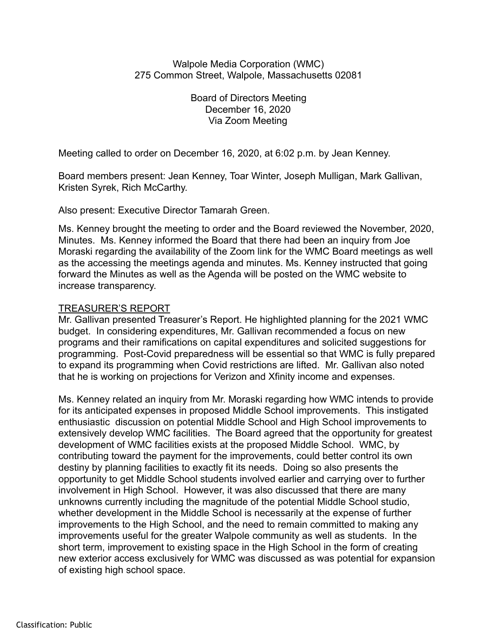## Walpole Media Corporation (WMC) 275 Common Street, Walpole, Massachusetts 02081

Board of Directors Meeting December 16, 2020 Via Zoom Meeting

Meeting called to order on December 16, 2020, at 6:02 p.m. by Jean Kenney.

Board members present: Jean Kenney, Toar Winter, Joseph Mulligan, Mark Gallivan, Kristen Syrek, Rich McCarthy.

Also present: Executive Director Tamarah Green.

Ms. Kenney brought the meeting to order and the Board reviewed the November, 2020, Minutes. Ms. Kenney informed the Board that there had been an inquiry from Joe Moraski regarding the availability of the Zoom link for the WMC Board meetings as well as the accessing the meetings agenda and minutes. Ms. Kenney instructed that going forward the Minutes as well as the Agenda will be posted on the WMC website to increase transparency.

## TREASURER'S REPORT

Mr. Gallivan presented Treasurer's Report. He highlighted planning for the 2021 WMC budget. In considering expenditures, Mr. Gallivan recommended a focus on new programs and their ramifications on capital expenditures and solicited suggestions for programming. Post-Covid preparedness will be essential so that WMC is fully prepared to expand its programming when Covid restrictions are lifted. Mr. Gallivan also noted that he is working on projections for Verizon and Xfinity income and expenses.

Ms. Kenney related an inquiry from Mr. Moraski regarding how WMC intends to provide for its anticipated expenses in proposed Middle School improvements. This instigated enthusiastic discussion on potential Middle School and High School improvements to extensively develop WMC facilities. The Board agreed that the opportunity for greatest development of WMC facilities exists at the proposed Middle School. WMC, by contributing toward the payment for the improvements, could better control its own destiny by planning facilities to exactly fit its needs. Doing so also presents the opportunity to get Middle School students involved earlier and carrying over to further involvement in High School. However, it was also discussed that there are many unknowns currently including the magnitude of the potential Middle School studio, whether development in the Middle School is necessarily at the expense of further improvements to the High School, and the need to remain committed to making any improvements useful for the greater Walpole community as well as students. In the short term, improvement to existing space in the High School in the form of creating new exterior access exclusively for WMC was discussed as was potential for expansion of existing high school space.